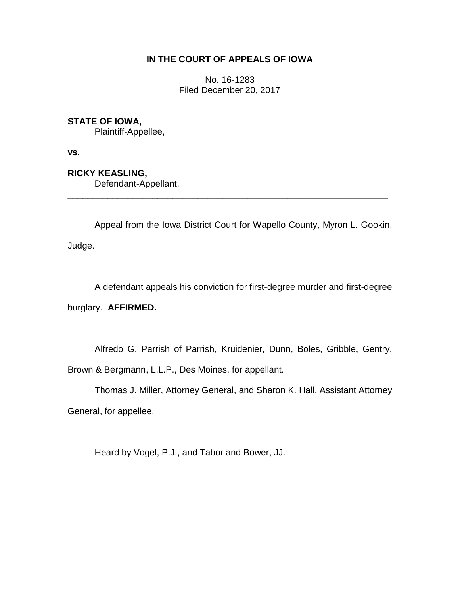# **IN THE COURT OF APPEALS OF IOWA**

No. 16-1283 Filed December 20, 2017

## **STATE OF IOWA,**

Plaintiff-Appellee,

**vs.**

**RICKY KEASLING,**

Defendant-Appellant.

Appeal from the Iowa District Court for Wapello County, Myron L. Gookin, Judge.

\_\_\_\_\_\_\_\_\_\_\_\_\_\_\_\_\_\_\_\_\_\_\_\_\_\_\_\_\_\_\_\_\_\_\_\_\_\_\_\_\_\_\_\_\_\_\_\_\_\_\_\_\_\_\_\_\_\_\_\_\_\_\_\_

A defendant appeals his conviction for first-degree murder and first-degree

burglary. **AFFIRMED.**

Alfredo G. Parrish of Parrish, Kruidenier, Dunn, Boles, Gribble, Gentry,

Brown & Bergmann, L.L.P., Des Moines, for appellant.

Thomas J. Miller, Attorney General, and Sharon K. Hall, Assistant Attorney General, for appellee.

Heard by Vogel, P.J., and Tabor and Bower, JJ.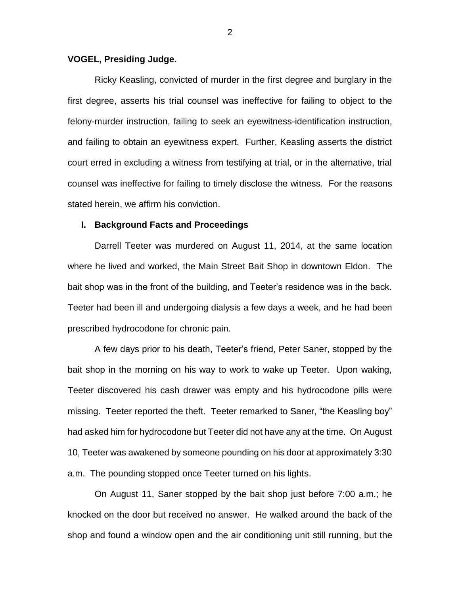## **VOGEL, Presiding Judge.**

Ricky Keasling, convicted of murder in the first degree and burglary in the first degree, asserts his trial counsel was ineffective for failing to object to the felony-murder instruction, failing to seek an eyewitness-identification instruction, and failing to obtain an eyewitness expert. Further, Keasling asserts the district court erred in excluding a witness from testifying at trial, or in the alternative, trial counsel was ineffective for failing to timely disclose the witness. For the reasons stated herein, we affirm his conviction.

## **I. Background Facts and Proceedings**

Darrell Teeter was murdered on August 11, 2014, at the same location where he lived and worked, the Main Street Bait Shop in downtown Eldon. The bait shop was in the front of the building, and Teeter's residence was in the back. Teeter had been ill and undergoing dialysis a few days a week, and he had been prescribed hydrocodone for chronic pain.

A few days prior to his death, Teeter's friend, Peter Saner, stopped by the bait shop in the morning on his way to work to wake up Teeter. Upon waking, Teeter discovered his cash drawer was empty and his hydrocodone pills were missing. Teeter reported the theft. Teeter remarked to Saner, "the Keasling boy" had asked him for hydrocodone but Teeter did not have any at the time. On August 10, Teeter was awakened by someone pounding on his door at approximately 3:30 a.m. The pounding stopped once Teeter turned on his lights.

On August 11, Saner stopped by the bait shop just before 7:00 a.m.; he knocked on the door but received no answer. He walked around the back of the shop and found a window open and the air conditioning unit still running, but the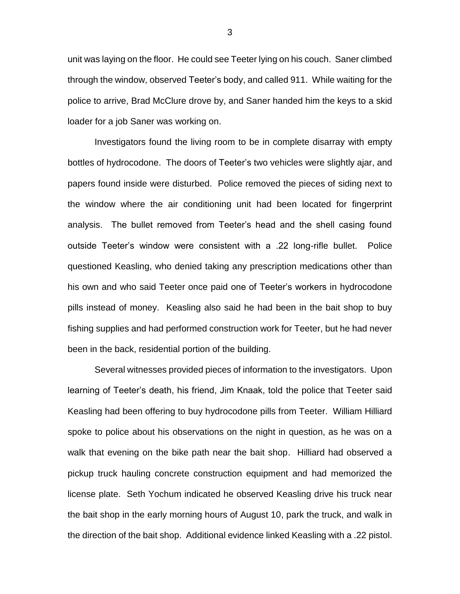unit was laying on the floor. He could see Teeter lying on his couch. Saner climbed through the window, observed Teeter's body, and called 911. While waiting for the police to arrive, Brad McClure drove by, and Saner handed him the keys to a skid loader for a job Saner was working on.

Investigators found the living room to be in complete disarray with empty bottles of hydrocodone. The doors of Teeter's two vehicles were slightly ajar, and papers found inside were disturbed. Police removed the pieces of siding next to the window where the air conditioning unit had been located for fingerprint analysis. The bullet removed from Teeter's head and the shell casing found outside Teeter's window were consistent with a .22 long-rifle bullet. Police questioned Keasling, who denied taking any prescription medications other than his own and who said Teeter once paid one of Teeter's workers in hydrocodone pills instead of money. Keasling also said he had been in the bait shop to buy fishing supplies and had performed construction work for Teeter, but he had never been in the back, residential portion of the building.

Several witnesses provided pieces of information to the investigators. Upon learning of Teeter's death, his friend, Jim Knaak, told the police that Teeter said Keasling had been offering to buy hydrocodone pills from Teeter. William Hilliard spoke to police about his observations on the night in question, as he was on a walk that evening on the bike path near the bait shop. Hilliard had observed a pickup truck hauling concrete construction equipment and had memorized the license plate. Seth Yochum indicated he observed Keasling drive his truck near the bait shop in the early morning hours of August 10, park the truck, and walk in the direction of the bait shop. Additional evidence linked Keasling with a .22 pistol.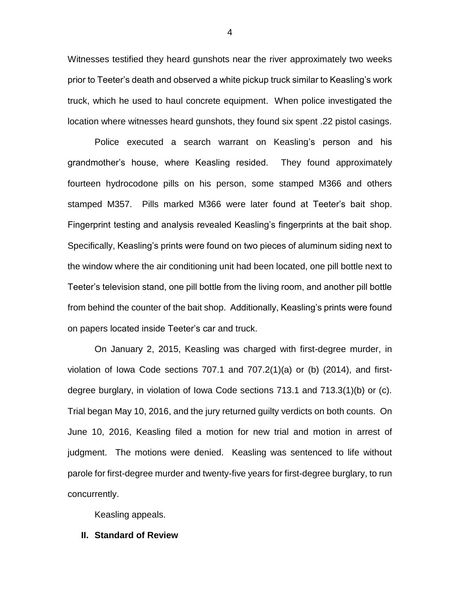Witnesses testified they heard gunshots near the river approximately two weeks prior to Teeter's death and observed a white pickup truck similar to Keasling's work truck, which he used to haul concrete equipment. When police investigated the location where witnesses heard gunshots, they found six spent .22 pistol casings.

Police executed a search warrant on Keasling's person and his grandmother's house, where Keasling resided. They found approximately fourteen hydrocodone pills on his person, some stamped M366 and others stamped M357. Pills marked M366 were later found at Teeter's bait shop. Fingerprint testing and analysis revealed Keasling's fingerprints at the bait shop. Specifically, Keasling's prints were found on two pieces of aluminum siding next to the window where the air conditioning unit had been located, one pill bottle next to Teeter's television stand, one pill bottle from the living room, and another pill bottle from behind the counter of the bait shop. Additionally, Keasling's prints were found on papers located inside Teeter's car and truck.

On January 2, 2015, Keasling was charged with first-degree murder, in violation of lowa Code sections  $707.1$  and  $707.2(1)(a)$  or (b)  $(2014)$ , and firstdegree burglary, in violation of Iowa Code sections 713.1 and 713.3(1)(b) or (c). Trial began May 10, 2016, and the jury returned guilty verdicts on both counts. On June 10, 2016, Keasling filed a motion for new trial and motion in arrest of judgment. The motions were denied. Keasling was sentenced to life without parole for first-degree murder and twenty-five years for first-degree burglary, to run concurrently.

Keasling appeals.

#### **II. Standard of Review**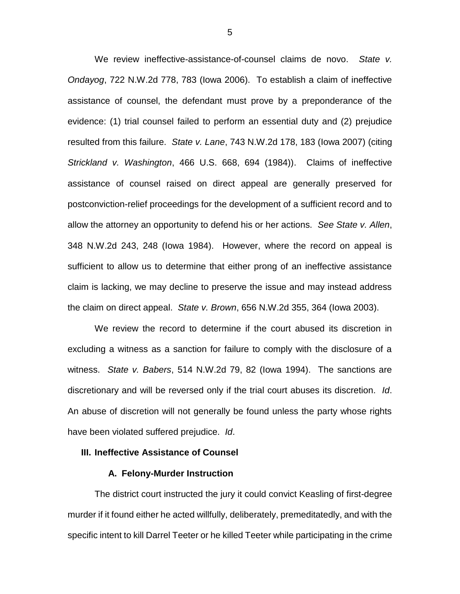We review ineffective-assistance-of-counsel claims de novo. *State v. Ondayog*, 722 N.W.2d 778, 783 (Iowa 2006). To establish a claim of ineffective assistance of counsel, the defendant must prove by a preponderance of the evidence: (1) trial counsel failed to perform an essential duty and (2) prejudice resulted from this failure. *State v. Lane*, 743 N.W.2d 178, 183 (Iowa 2007) (citing *Strickland v. Washington*, 466 U.S. 668, 694 (1984)). Claims of ineffective assistance of counsel raised on direct appeal are generally preserved for postconviction-relief proceedings for the development of a sufficient record and to allow the attorney an opportunity to defend his or her actions. *See State v. Allen*, 348 N.W.2d 243, 248 (Iowa 1984). However, where the record on appeal is sufficient to allow us to determine that either prong of an ineffective assistance claim is lacking, we may decline to preserve the issue and may instead address the claim on direct appeal. *State v. Brown*, 656 N.W.2d 355, 364 (Iowa 2003).

We review the record to determine if the court abused its discretion in excluding a witness as a sanction for failure to comply with the disclosure of a witness. *State v. Babers*, 514 N.W.2d 79, 82 (Iowa 1994). The sanctions are discretionary and will be reversed only if the trial court abuses its discretion. *Id*. An abuse of discretion will not generally be found unless the party whose rights have been violated suffered prejudice. *Id*.

## **III. Ineffective Assistance of Counsel**

## **A. Felony-Murder Instruction**

The district court instructed the jury it could convict Keasling of first-degree murder if it found either he acted willfully, deliberately, premeditatedly, and with the specific intent to kill Darrel Teeter or he killed Teeter while participating in the crime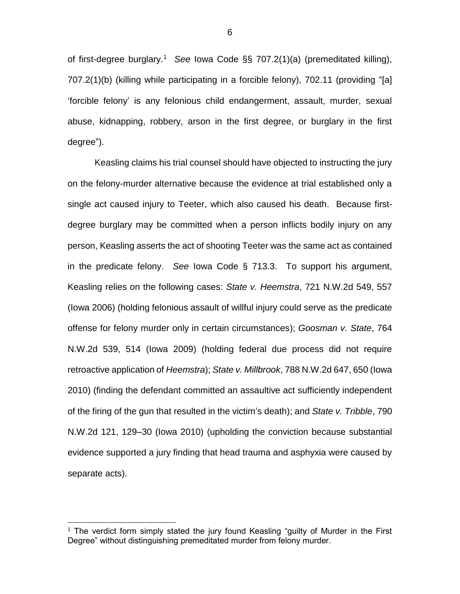of first-degree burglary.<sup>1</sup> *See* Iowa Code §§ 707.2(1)(a) (premeditated killing), 707.2(1)(b) (killing while participating in a forcible felony), 702.11 (providing "[a] 'forcible felony' is any felonious child endangerment, assault, murder, sexual abuse, kidnapping, robbery, arson in the first degree, or burglary in the first degree").

Keasling claims his trial counsel should have objected to instructing the jury on the felony-murder alternative because the evidence at trial established only a single act caused injury to Teeter, which also caused his death. Because firstdegree burglary may be committed when a person inflicts bodily injury on any person, Keasling asserts the act of shooting Teeter was the same act as contained in the predicate felony. *See* Iowa Code § 713.3. To support his argument, Keasling relies on the following cases: *State v. Heemstra*, 721 N.W.2d 549, 557 (Iowa 2006) (holding felonious assault of willful injury could serve as the predicate offense for felony murder only in certain circumstances); *Goosman v. State*, 764 N.W.2d 539, 514 (Iowa 2009) (holding federal due process did not require retroactive application of *Heemstra*); *State v. Millbrook*, 788 N.W.2d 647, 650 (Iowa 2010) (finding the defendant committed an assaultive act sufficiently independent of the firing of the gun that resulted in the victim's death); and *State v. Tribble*, 790 N.W.2d 121, 129–30 (Iowa 2010) (upholding the conviction because substantial evidence supported a jury finding that head trauma and asphyxia were caused by separate acts).

 $\overline{a}$ 

<sup>&</sup>lt;sup>1</sup> The verdict form simply stated the jury found Keasling "guilty of Murder in the First Degree" without distinguishing premeditated murder from felony murder.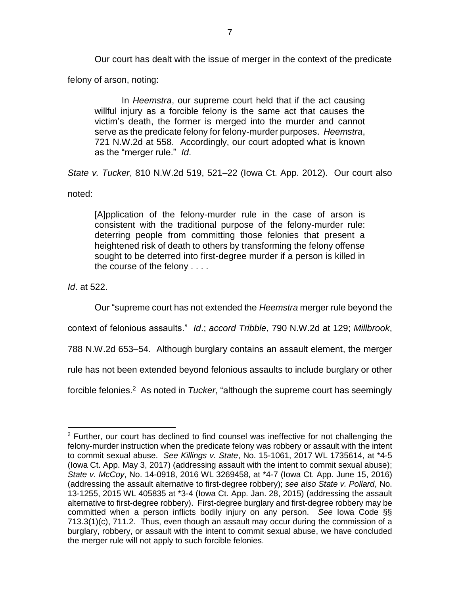Our court has dealt with the issue of merger in the context of the predicate

felony of arson, noting:

In *Heemstra*, our supreme court held that if the act causing willful injury as a forcible felony is the same act that causes the victim's death, the former is merged into the murder and cannot serve as the predicate felony for felony-murder purposes. *Heemstra*, 721 N.W.2d at 558. Accordingly, our court adopted what is known as the "merger rule." *Id*.

*State v. Tucker*, 810 N.W.2d 519, 521–22 (Iowa Ct. App. 2012). Our court also noted:

[A]pplication of the felony-murder rule in the case of arson is consistent with the traditional purpose of the felony-murder rule: deterring people from committing those felonies that present a heightened risk of death to others by transforming the felony offense sought to be deterred into first-degree murder if a person is killed in the course of the felony . . . .

*Id*. at 522.

 $\overline{a}$ 

Our "supreme court has not extended the *Heemstra* merger rule beyond the

context of felonious assaults." *Id*.; *accord Tribble*, 790 N.W.2d at 129; *Millbrook*,

788 N.W.2d 653–54. Although burglary contains an assault element, the merger

rule has not been extended beyond felonious assaults to include burglary or other

forcible felonies.<sup>2</sup> As noted in *Tucker*, "although the supreme court has seemingly

 $2$  Further, our court has declined to find counsel was ineffective for not challenging the felony-murder instruction when the predicate felony was robbery or assault with the intent to commit sexual abuse. *See Killings v. State*, No. 15-1061, 2017 WL 1735614, at \*4-5 (Iowa Ct. App. May 3, 2017) (addressing assault with the intent to commit sexual abuse); *State v. McCoy*, No. 14-0918, 2016 WL 3269458, at \*4-7 (Iowa Ct. App. June 15, 2016) (addressing the assault alternative to first-degree robbery); *see also State v. Pollard*, No. 13-1255, 2015 WL 405835 at \*3-4 (Iowa Ct. App. Jan. 28, 2015) (addressing the assault alternative to first-degree robbery). First-degree burglary and first-degree robbery may be committed when a person inflicts bodily injury on any person. *See* Iowa Code §§ 713.3(1)(c), 711.2. Thus, even though an assault may occur during the commission of a burglary, robbery, or assault with the intent to commit sexual abuse, we have concluded the merger rule will not apply to such forcible felonies.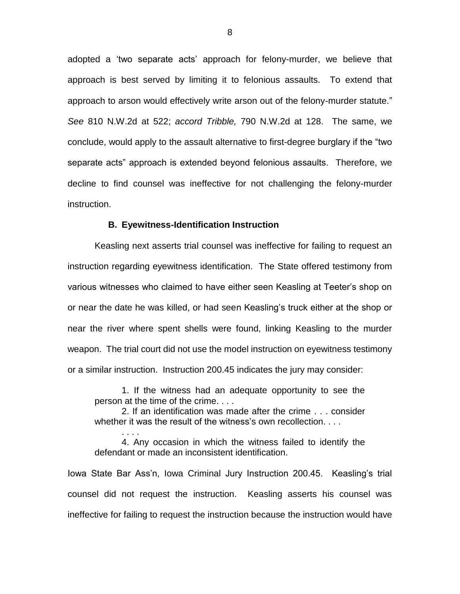adopted a 'two separate acts' approach for felony-murder, we believe that approach is best served by limiting it to felonious assaults. To extend that approach to arson would effectively write arson out of the felony-murder statute." *See* 810 N.W.2d at 522; *accord Tribble,* 790 N.W.2d at 128. The same, we conclude, would apply to the assault alternative to first-degree burglary if the "two separate acts" approach is extended beyond felonious assaults. Therefore, we decline to find counsel was ineffective for not challenging the felony-murder instruction.

#### **B. Eyewitness-Identification Instruction**

Keasling next asserts trial counsel was ineffective for failing to request an instruction regarding eyewitness identification. The State offered testimony from various witnesses who claimed to have either seen Keasling at Teeter's shop on or near the date he was killed, or had seen Keasling's truck either at the shop or near the river where spent shells were found, linking Keasling to the murder weapon. The trial court did not use the model instruction on eyewitness testimony or a similar instruction. Instruction 200.45 indicates the jury may consider:

1. If the witness had an adequate opportunity to see the person at the time of the crime. . . .

2. If an identification was made after the crime . . . consider whether it was the result of the witness's own recollection....

4. Any occasion in which the witness failed to identify the defendant or made an inconsistent identification.

. . . .

Iowa State Bar Ass'n, Iowa Criminal Jury Instruction 200.45. Keasling's trial counsel did not request the instruction. Keasling asserts his counsel was ineffective for failing to request the instruction because the instruction would have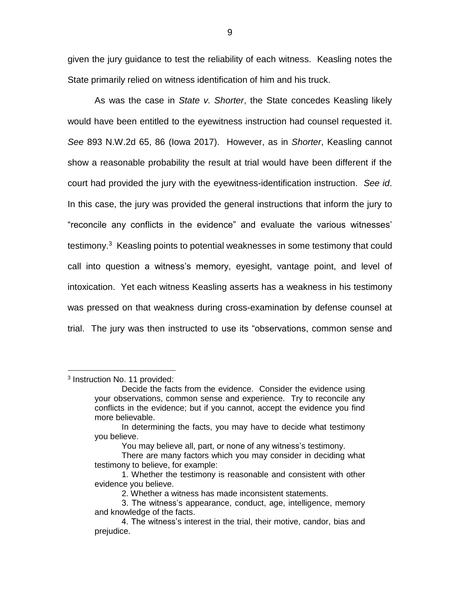given the jury guidance to test the reliability of each witness. Keasling notes the State primarily relied on witness identification of him and his truck.

As was the case in *State v. Shorter*, the State concedes Keasling likely would have been entitled to the eyewitness instruction had counsel requested it. *See* 893 N.W.2d 65, 86 (Iowa 2017). However, as in *Shorter*, Keasling cannot show a reasonable probability the result at trial would have been different if the court had provided the jury with the eyewitness-identification instruction. *See id*. In this case, the jury was provided the general instructions that inform the jury to "reconcile any conflicts in the evidence" and evaluate the various witnesses' testimony.<sup>3</sup> Keasling points to potential weaknesses in some testimony that could call into question a witness's memory, eyesight, vantage point, and level of intoxication. Yet each witness Keasling asserts has a weakness in his testimony was pressed on that weakness during cross-examination by defense counsel at trial. The jury was then instructed to use its "observations, common sense and

<sup>3</sup> Instruction No. 11 provided:

 $\overline{a}$ 

9

Decide the facts from the evidence. Consider the evidence using your observations, common sense and experience. Try to reconcile any conflicts in the evidence; but if you cannot, accept the evidence you find more believable.

In determining the facts, you may have to decide what testimony you believe.

You may believe all, part, or none of any witness's testimony.

There are many factors which you may consider in deciding what testimony to believe, for example:

<sup>1.</sup> Whether the testimony is reasonable and consistent with other evidence you believe.

<sup>2.</sup> Whether a witness has made inconsistent statements.

<sup>3.</sup> The witness's appearance, conduct, age, intelligence, memory and knowledge of the facts.

<sup>4.</sup> The witness's interest in the trial, their motive, candor, bias and prejudice.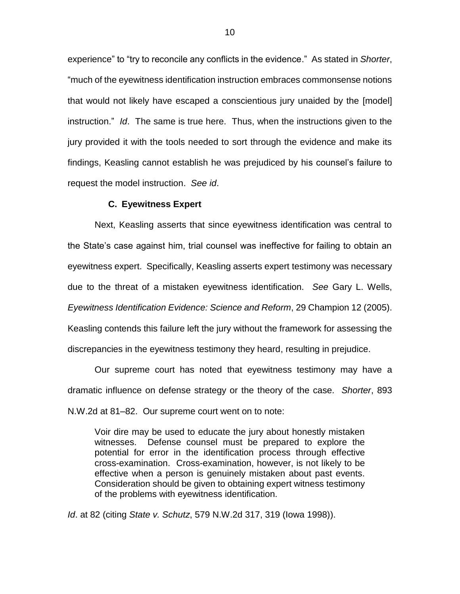experience" to "try to reconcile any conflicts in the evidence." As stated in *Shorter*, "much of the eyewitness identification instruction embraces commonsense notions that would not likely have escaped a conscientious jury unaided by the [model] instruction." *Id*. The same is true here. Thus, when the instructions given to the jury provided it with the tools needed to sort through the evidence and make its findings, Keasling cannot establish he was prejudiced by his counsel's failure to request the model instruction. *See id*.

## **C. Eyewitness Expert**

Next, Keasling asserts that since eyewitness identification was central to the State's case against him, trial counsel was ineffective for failing to obtain an eyewitness expert. Specifically, Keasling asserts expert testimony was necessary due to the threat of a mistaken eyewitness identification. *See* Gary L. Wells, *Eyewitness Identification Evidence: Science and Reform*, 29 Champion 12 (2005). Keasling contends this failure left the jury without the framework for assessing the discrepancies in the eyewitness testimony they heard, resulting in prejudice.

Our supreme court has noted that eyewitness testimony may have a dramatic influence on defense strategy or the theory of the case. *Shorter*, 893 N.W.2d at 81–82. Our supreme court went on to note:

Voir dire may be used to educate the jury about honestly mistaken witnesses. Defense counsel must be prepared to explore the potential for error in the identification process through effective cross-examination. Cross-examination, however, is not likely to be effective when a person is genuinely mistaken about past events. Consideration should be given to obtaining expert witness testimony of the problems with eyewitness identification.

*Id*. at 82 (citing *State v. Schutz*, 579 N.W.2d 317, 319 (Iowa 1998)).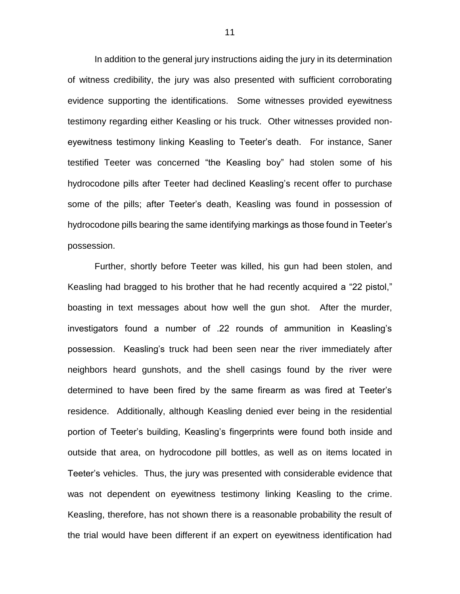In addition to the general jury instructions aiding the jury in its determination of witness credibility, the jury was also presented with sufficient corroborating evidence supporting the identifications. Some witnesses provided eyewitness testimony regarding either Keasling or his truck. Other witnesses provided noneyewitness testimony linking Keasling to Teeter's death. For instance, Saner testified Teeter was concerned "the Keasling boy" had stolen some of his hydrocodone pills after Teeter had declined Keasling's recent offer to purchase some of the pills; after Teeter's death, Keasling was found in possession of hydrocodone pills bearing the same identifying markings as those found in Teeter's possession.

Further, shortly before Teeter was killed, his gun had been stolen, and Keasling had bragged to his brother that he had recently acquired a "22 pistol," boasting in text messages about how well the gun shot. After the murder, investigators found a number of .22 rounds of ammunition in Keasling's possession. Keasling's truck had been seen near the river immediately after neighbors heard gunshots, and the shell casings found by the river were determined to have been fired by the same firearm as was fired at Teeter's residence. Additionally, although Keasling denied ever being in the residential portion of Teeter's building, Keasling's fingerprints were found both inside and outside that area, on hydrocodone pill bottles, as well as on items located in Teeter's vehicles. Thus, the jury was presented with considerable evidence that was not dependent on eyewitness testimony linking Keasling to the crime. Keasling, therefore, has not shown there is a reasonable probability the result of the trial would have been different if an expert on eyewitness identification had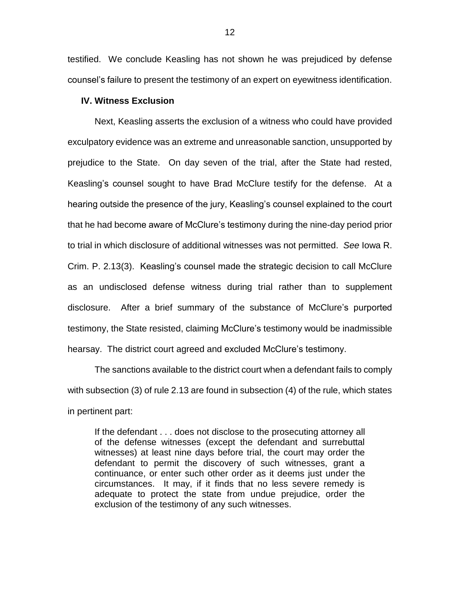testified. We conclude Keasling has not shown he was prejudiced by defense counsel's failure to present the testimony of an expert on eyewitness identification.

## **IV. Witness Exclusion**

Next, Keasling asserts the exclusion of a witness who could have provided exculpatory evidence was an extreme and unreasonable sanction, unsupported by prejudice to the State. On day seven of the trial, after the State had rested, Keasling's counsel sought to have Brad McClure testify for the defense. At a hearing outside the presence of the jury, Keasling's counsel explained to the court that he had become aware of McClure's testimony during the nine-day period prior to trial in which disclosure of additional witnesses was not permitted. *See* Iowa R. Crim. P. 2.13(3). Keasling's counsel made the strategic decision to call McClure as an undisclosed defense witness during trial rather than to supplement disclosure. After a brief summary of the substance of McClure's purported testimony, the State resisted, claiming McClure's testimony would be inadmissible hearsay. The district court agreed and excluded McClure's testimony.

The sanctions available to the district court when a defendant fails to comply with subsection (3) of rule 2.13 are found in subsection (4) of the rule, which states in pertinent part:

If the defendant . . . does not disclose to the prosecuting attorney all of the defense witnesses (except the defendant and surrebuttal witnesses) at least nine days before trial, the court may order the defendant to permit the discovery of such witnesses, grant a continuance, or enter such other order as it deems just under the circumstances. It may, if it finds that no less severe remedy is adequate to protect the state from undue prejudice, order the exclusion of the testimony of any such witnesses.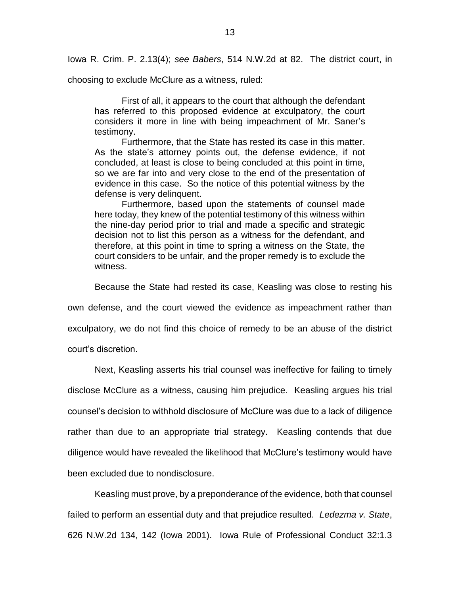Iowa R. Crim. P. 2.13(4); *see Babers*, 514 N.W.2d at 82. The district court, in

choosing to exclude McClure as a witness, ruled:

First of all, it appears to the court that although the defendant has referred to this proposed evidence at exculpatory, the court considers it more in line with being impeachment of Mr. Saner's testimony.

Furthermore, that the State has rested its case in this matter. As the state's attorney points out, the defense evidence, if not concluded, at least is close to being concluded at this point in time, so we are far into and very close to the end of the presentation of evidence in this case. So the notice of this potential witness by the defense is very delinquent.

Furthermore, based upon the statements of counsel made here today, they knew of the potential testimony of this witness within the nine-day period prior to trial and made a specific and strategic decision not to list this person as a witness for the defendant, and therefore, at this point in time to spring a witness on the State, the court considers to be unfair, and the proper remedy is to exclude the witness.

Because the State had rested its case, Keasling was close to resting his

own defense, and the court viewed the evidence as impeachment rather than

exculpatory, we do not find this choice of remedy to be an abuse of the district

court's discretion.

Next, Keasling asserts his trial counsel was ineffective for failing to timely disclose McClure as a witness, causing him prejudice. Keasling argues his trial counsel's decision to withhold disclosure of McClure was due to a lack of diligence rather than due to an appropriate trial strategy. Keasling contends that due diligence would have revealed the likelihood that McClure's testimony would have been excluded due to nondisclosure.

Keasling must prove, by a preponderance of the evidence, both that counsel failed to perform an essential duty and that prejudice resulted. *Ledezma v. State*, 626 N.W.2d 134, 142 (Iowa 2001). Iowa Rule of Professional Conduct 32:1.3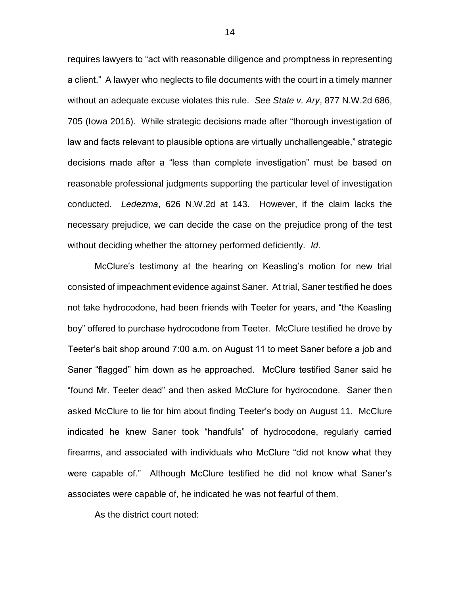requires lawyers to "act with reasonable diligence and promptness in representing a client." A lawyer who neglects to file documents with the court in a timely manner without an adequate excuse violates this rule. *See State v. Ary*, 877 N.W.2d 686, 705 (Iowa 2016). While strategic decisions made after "thorough investigation of law and facts relevant to plausible options are virtually unchallengeable," strategic decisions made after a "less than complete investigation" must be based on reasonable professional judgments supporting the particular level of investigation conducted. *Ledezma*, 626 N.W.2d at 143. However, if the claim lacks the necessary prejudice, we can decide the case on the prejudice prong of the test without deciding whether the attorney performed deficiently. *Id*.

McClure's testimony at the hearing on Keasling's motion for new trial consisted of impeachment evidence against Saner. At trial, Saner testified he does not take hydrocodone, had been friends with Teeter for years, and "the Keasling boy" offered to purchase hydrocodone from Teeter. McClure testified he drove by Teeter's bait shop around 7:00 a.m. on August 11 to meet Saner before a job and Saner "flagged" him down as he approached. McClure testified Saner said he "found Mr. Teeter dead" and then asked McClure for hydrocodone. Saner then asked McClure to lie for him about finding Teeter's body on August 11. McClure indicated he knew Saner took "handfuls" of hydrocodone, regularly carried firearms, and associated with individuals who McClure "did not know what they were capable of." Although McClure testified he did not know what Saner's associates were capable of, he indicated he was not fearful of them.

As the district court noted:

14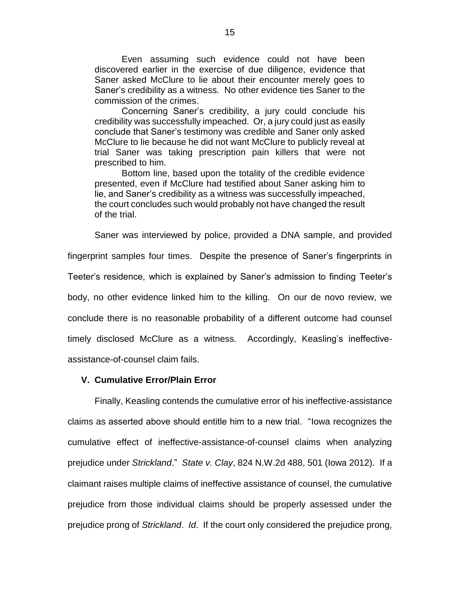Even assuming such evidence could not have been discovered earlier in the exercise of due diligence, evidence that Saner asked McClure to lie about their encounter merely goes to Saner's credibility as a witness. No other evidence ties Saner to the commission of the crimes.

Concerning Saner's credibility, a jury could conclude his credibility was successfully impeached. Or, a jury could just as easily conclude that Saner's testimony was credible and Saner only asked McClure to lie because he did not want McClure to publicly reveal at trial Saner was taking prescription pain killers that were not prescribed to him.

Bottom line, based upon the totality of the credible evidence presented, even if McClure had testified about Saner asking him to lie, and Saner's credibility as a witness was successfully impeached, the court concludes such would probably not have changed the result of the trial.

Saner was interviewed by police, provided a DNA sample, and provided

fingerprint samples four times. Despite the presence of Saner's fingerprints in Teeter's residence, which is explained by Saner's admission to finding Teeter's body, no other evidence linked him to the killing. On our de novo review, we conclude there is no reasonable probability of a different outcome had counsel timely disclosed McClure as a witness. Accordingly, Keasling's ineffectiveassistance-of-counsel claim fails.

## **V. Cumulative Error/Plain Error**

Finally, Keasling contends the cumulative error of his ineffective-assistance claims as asserted above should entitle him to a new trial. "Iowa recognizes the cumulative effect of ineffective-assistance-of-counsel claims when analyzing prejudice under *Strickland*." *State v. Clay*, 824 N.W.2d 488, 501 (Iowa 2012). If a claimant raises multiple claims of ineffective assistance of counsel, the cumulative prejudice from those individual claims should be properly assessed under the prejudice prong of *Strickland*. *Id*. If the court only considered the prejudice prong,